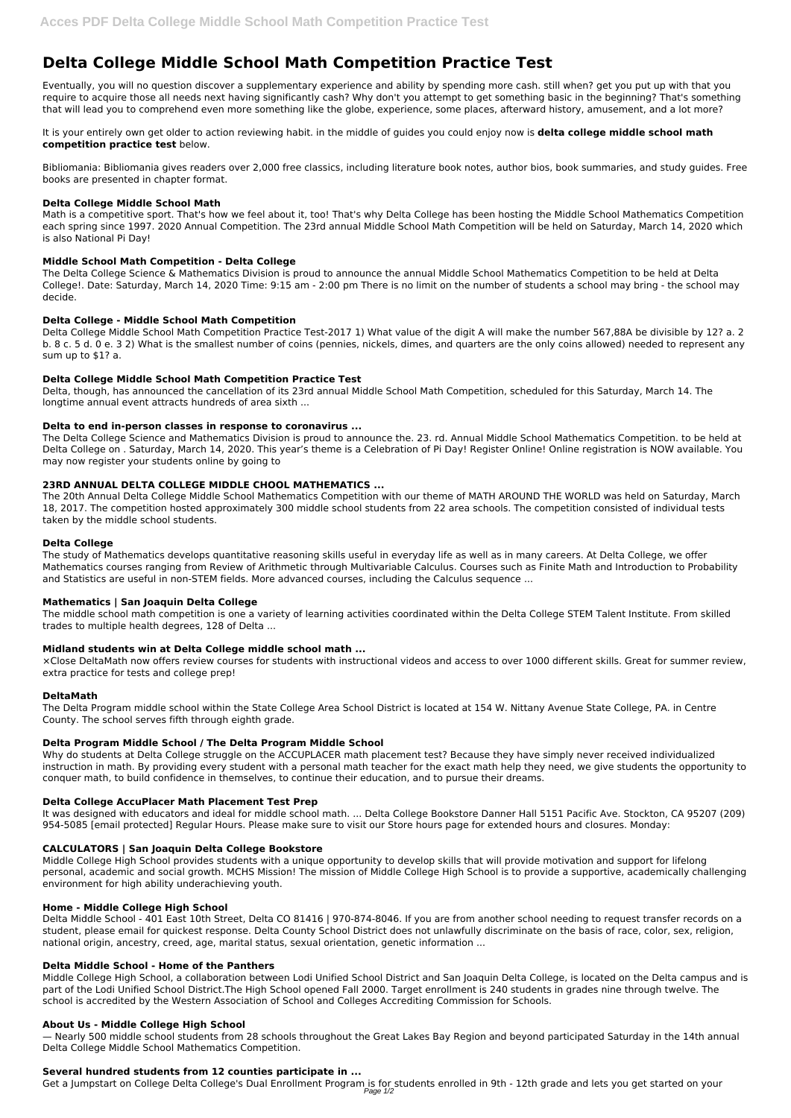# **Delta College Middle School Math Competition Practice Test**

Eventually, you will no question discover a supplementary experience and ability by spending more cash. still when? get you put up with that you require to acquire those all needs next having significantly cash? Why don't you attempt to get something basic in the beginning? That's something that will lead you to comprehend even more something like the globe, experience, some places, afterward history, amusement, and a lot more?

Math is a competitive sport. That's how we feel about it, too! That's why Delta College has been hosting the Middle School Mathematics Competition each spring since 1997. 2020 Annual Competition. The 23rd annual Middle School Math Competition will be held on Saturday, March 14, 2020 which is also National Pi Day!

It is your entirely own get older to action reviewing habit. in the middle of guides you could enjoy now is **delta college middle school math competition practice test** below.

Bibliomania: Bibliomania gives readers over 2,000 free classics, including literature book notes, author bios, book summaries, and study guides. Free books are presented in chapter format.

# **Delta College Middle School Math**

# **Middle School Math Competition - Delta College**

The Delta College Science & Mathematics Division is proud to announce the annual Middle School Mathematics Competition to be held at Delta College!. Date: Saturday, March 14, 2020 Time: 9:15 am - 2:00 pm There is no limit on the number of students a school may bring - the school may decide.

# **Delta College - Middle School Math Competition**

Delta College Middle School Math Competition Practice Test-2017 1) What value of the digit A will make the number 567,88A be divisible by 12? a. 2 b. 8 c. 5 d. 0 e. 3 2) What is the smallest number of coins (pennies, nickels, dimes, and quarters are the only coins allowed) needed to represent any sum up to \$1? a.

# **Delta College Middle School Math Competition Practice Test**

Delta, though, has announced the cancellation of its 23rd annual Middle School Math Competition, scheduled for this Saturday, March 14. The longtime annual event attracts hundreds of area sixth ...

## **Delta to end in-person classes in response to coronavirus ...**

The Delta College Science and Mathematics Division is proud to announce the. 23. rd. Annual Middle School Mathematics Competition. to be held at Delta College on . Saturday, March 14, 2020. This year's theme is a Celebration of Pi Day! Register Online! Online registration is NOW available. You may now register your students online by going to

# **23RD ANNUAL DELTA COLLEGE MIDDLE CHOOL MATHEMATICS ...**

The 20th Annual Delta College Middle School Mathematics Competition with our theme of MATH AROUND THE WORLD was held on Saturday, March 18, 2017. The competition hosted approximately 300 middle school students from 22 area schools. The competition consisted of individual tests taken by the middle school students.

## **Delta College**

The study of Mathematics develops quantitative reasoning skills useful in everyday life as well as in many careers. At Delta College, we offer Mathematics courses ranging from Review of Arithmetic through Multivariable Calculus. Courses such as Finite Math and Introduction to Probability and Statistics are useful in non-STEM fields. More advanced courses, including the Calculus sequence ...

## **Mathematics | San Joaquin Delta College**

The middle school math competition is one a variety of learning activities coordinated within the Delta College STEM Talent Institute. From skilled trades to multiple health degrees, 128 of Delta ...

## **Midland students win at Delta College middle school math ...**

×Close DeltaMath now offers review courses for students with instructional videos and access to over 1000 different skills. Great for summer review, extra practice for tests and college prep!

## **DeltaMath**

The Delta Program middle school within the State College Area School District is located at 154 W. Nittany Avenue State College, PA. in Centre County. The school serves fifth through eighth grade.

## **Delta Program Middle School / The Delta Program Middle School**

Why do students at Delta College struggle on the ACCUPLACER math placement test? Because they have simply never received individualized instruction in math. By providing every student with a personal math teacher for the exact math help they need, we give students the opportunity to conquer math, to build confidence in themselves, to continue their education, and to pursue their dreams.

## **Delta College AccuPlacer Math Placement Test Prep**

It was designed with educators and ideal for middle school math. ... Delta College Bookstore Danner Hall 5151 Pacific Ave. Stockton, CA 95207 (209) 954-5085 [email protected] Regular Hours. Please make sure to visit our Store hours page for extended hours and closures. Monday:

#### **CALCULATORS | San Joaquin Delta College Bookstore**

Middle College High School provides students with a unique opportunity to develop skills that will provide motivation and support for lifelong personal, academic and social growth. MCHS Mission! The mission of Middle College High School is to provide a supportive, academically challenging environment for high ability underachieving youth.

# **Home - Middle College High School**

Delta Middle School - 401 East 10th Street, Delta CO 81416 | 970-874-8046. If you are from another school needing to request transfer records on a student, please email for quickest response. Delta County School District does not unlawfully discriminate on the basis of race, color, sex, religion, national origin, ancestry, creed, age, marital status, sexual orientation, genetic information ...

#### **Delta Middle School - Home of the Panthers**

Middle College High School, a collaboration between Lodi Unified School District and San Joaquin Delta College, is located on the Delta campus and is part of the Lodi Unified School District.The High School opened Fall 2000. Target enrollment is 240 students in grades nine through twelve. The school is accredited by the Western Association of School and Colleges Accrediting Commission for Schools.

#### **About Us - Middle College High School**

— Nearly 500 middle school students from 28 schools throughout the Great Lakes Bay Region and beyond participated Saturday in the 14th annual Delta College Middle School Mathematics Competition.

#### **Several hundred students from 12 counties participate in ...**

Get a Jumpstart on College Delta College's Dual Enrollment Program is for students enrolled in 9th - 12th grade and lets you get started on your Page 1/2